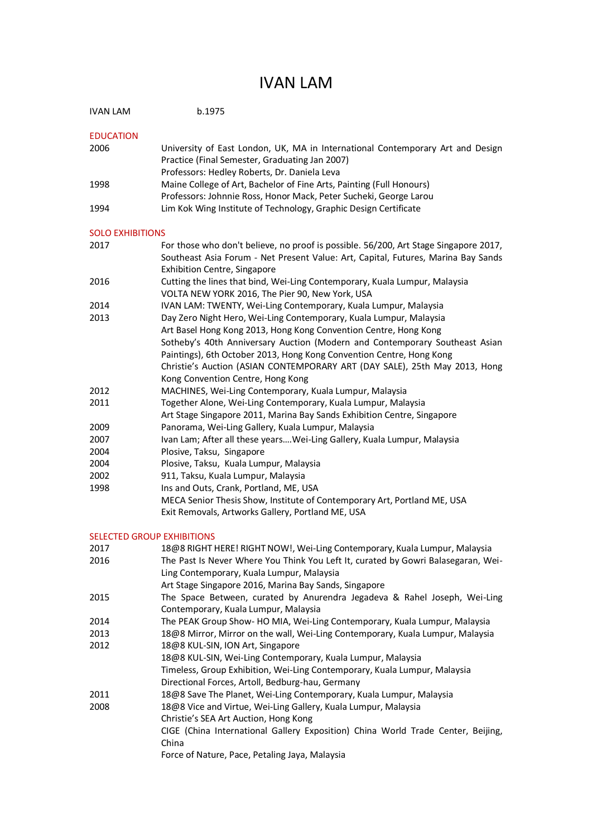## IVAN LAM

| IVAN LAM                          | b.1975                                                                                                                                                                                                                                                                                                |  |
|-----------------------------------|-------------------------------------------------------------------------------------------------------------------------------------------------------------------------------------------------------------------------------------------------------------------------------------------------------|--|
| <b>EDUCATION</b>                  |                                                                                                                                                                                                                                                                                                       |  |
| 2006                              | University of East London, UK, MA in International Contemporary Art and Design<br>Practice (Final Semester, Graduating Jan 2007)<br>Professors: Hedley Roberts, Dr. Daniela Leva                                                                                                                      |  |
| 1998                              | Maine College of Art, Bachelor of Fine Arts, Painting (Full Honours)<br>Professors: Johnnie Ross, Honor Mack, Peter Sucheki, George Larou                                                                                                                                                             |  |
| 1994                              | Lim Kok Wing Institute of Technology, Graphic Design Certificate                                                                                                                                                                                                                                      |  |
| <b>SOLO EXHIBITIONS</b>           |                                                                                                                                                                                                                                                                                                       |  |
| 2017                              | For those who don't believe, no proof is possible. 56/200, Art Stage Singapore 2017,<br>Southeast Asia Forum - Net Present Value: Art, Capital, Futures, Marina Bay Sands                                                                                                                             |  |
| 2016                              | <b>Exhibition Centre, Singapore</b><br>Cutting the lines that bind, Wei-Ling Contemporary, Kuala Lumpur, Malaysia                                                                                                                                                                                     |  |
|                                   | VOLTA NEW YORK 2016, The Pier 90, New York, USA                                                                                                                                                                                                                                                       |  |
| 2014<br>2013                      | IVAN LAM: TWENTY, Wei-Ling Contemporary, Kuala Lumpur, Malaysia<br>Day Zero Night Hero, Wei-Ling Contemporary, Kuala Lumpur, Malaysia                                                                                                                                                                 |  |
|                                   | Art Basel Hong Kong 2013, Hong Kong Convention Centre, Hong Kong<br>Sotheby's 40th Anniversary Auction (Modern and Contemporary Southeast Asian<br>Paintings), 6th October 2013, Hong Kong Convention Centre, Hong Kong<br>Christie's Auction (ASIAN CONTEMPORARY ART (DAY SALE), 25th May 2013, Hong |  |
| 2012                              | Kong Convention Centre, Hong Kong<br>MACHINES, Wei-Ling Contemporary, Kuala Lumpur, Malaysia                                                                                                                                                                                                          |  |
| 2011                              | Together Alone, Wei-Ling Contemporary, Kuala Lumpur, Malaysia<br>Art Stage Singapore 2011, Marina Bay Sands Exhibition Centre, Singapore                                                                                                                                                              |  |
| 2009                              | Panorama, Wei-Ling Gallery, Kuala Lumpur, Malaysia                                                                                                                                                                                                                                                    |  |
| 2007                              | Ivan Lam; After all these yearsWei-Ling Gallery, Kuala Lumpur, Malaysia                                                                                                                                                                                                                               |  |
| 2004                              | Plosive, Taksu, Singapore                                                                                                                                                                                                                                                                             |  |
| 2004                              | Plosive, Taksu, Kuala Lumpur, Malaysia                                                                                                                                                                                                                                                                |  |
| 2002                              | 911, Taksu, Kuala Lumpur, Malaysia                                                                                                                                                                                                                                                                    |  |
| 1998                              | Ins and Outs, Crank, Portland, ME, USA                                                                                                                                                                                                                                                                |  |
|                                   | MECA Senior Thesis Show, Institute of Contemporary Art, Portland ME, USA<br>Exit Removals, Artworks Gallery, Portland ME, USA                                                                                                                                                                         |  |
| <b>SELECTED GROUP EXHIBITIONS</b> |                                                                                                                                                                                                                                                                                                       |  |
| 2017                              | 18@8 RIGHT HERE! RIGHT NOW!, Wei-Ling Contemporary, Kuala Lumpur, Malaysia                                                                                                                                                                                                                            |  |
| 2016                              | The Past Is Never Where You Think You Left It, curated by Gowri Balasegaran, Wei-<br>Ling Contemporary, Kuala Lumpur, Malaysia                                                                                                                                                                        |  |
|                                   | Art Stage Singapore 2016, Marina Bay Sands, Singapore                                                                                                                                                                                                                                                 |  |
| 2015                              | The Space Between, curated by Anurendra Jegadeva & Rahel Joseph, Wei-Ling<br>Contemporary, Kuala Lumpur, Malaysia                                                                                                                                                                                     |  |
| 2014                              | The PEAK Group Show- HO MIA, Wei-Ling Contemporary, Kuala Lumpur, Malaysia                                                                                                                                                                                                                            |  |
| 2013                              | 18@8 Mirror, Mirror on the wall, Wei-Ling Contemporary, Kuala Lumpur, Malaysia                                                                                                                                                                                                                        |  |
| 2012                              | 18@8 KUL-SIN, ION Art, Singapore<br>18@8 KUL-SIN, Wei-Ling Contemporary, Kuala Lumpur, Malaysia<br>Timeless, Group Exhibition, Wei-Ling Contemporary, Kuala Lumpur, Malaysia                                                                                                                          |  |
|                                   | Directional Forces, Artoll, Bedburg-hau, Germany                                                                                                                                                                                                                                                      |  |
| 2011<br>2008                      | 18@8 Save The Planet, Wei-Ling Contemporary, Kuala Lumpur, Malaysia<br>18@8 Vice and Virtue, Wei-Ling Gallery, Kuala Lumpur, Malaysia                                                                                                                                                                 |  |
|                                   | Christie's SEA Art Auction, Hong Kong<br>CIGE (China International Gallery Exposition) China World Trade Center, Beijing,<br>China                                                                                                                                                                    |  |

Force of Nature, Pace, Petaling Jaya, Malaysia